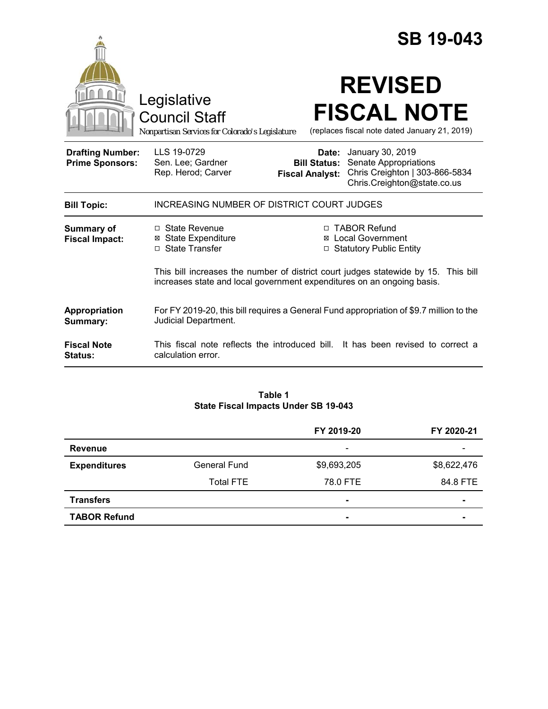|                                                   |                                                                                                                                                              |                                                        | <b>SB 19-043</b>                                                                                           |
|---------------------------------------------------|--------------------------------------------------------------------------------------------------------------------------------------------------------------|--------------------------------------------------------|------------------------------------------------------------------------------------------------------------|
|                                                   | Legislative<br><b>Council Staff</b><br>Nonpartisan Services for Colorado's Legislature                                                                       |                                                        | <b>REVISED</b><br><b>FISCAL NOTE</b><br>(replaces fiscal note dated January 21, 2019)                      |
| <b>Drafting Number:</b><br><b>Prime Sponsors:</b> | LLS 19-0729<br>Sen. Lee; Gardner<br>Rep. Herod; Carver                                                                                                       | Date:<br><b>Bill Status:</b><br><b>Fiscal Analyst:</b> | January 30, 2019<br>Senate Appropriations<br>Chris Creighton   303-866-5834<br>Chris.Creighton@state.co.us |
| <b>Bill Topic:</b>                                | INCREASING NUMBER OF DISTRICT COURT JUDGES                                                                                                                   |                                                        |                                                                                                            |
| Summary of<br><b>Fiscal Impact:</b>               | □ State Revenue<br><b>⊠ State Expenditure</b><br>□ State Transfer                                                                                            | □                                                      | □ TABOR Refund<br><b>⊠</b> Local Government<br><b>Statutory Public Entity</b>                              |
|                                                   | This bill increases the number of district court judges statewide by 15. This bill<br>increases state and local government expenditures on an ongoing basis. |                                                        |                                                                                                            |
| Appropriation<br>Summary:                         | For FY 2019-20, this bill requires a General Fund appropriation of \$9.7 million to the<br>Judicial Department.                                              |                                                        |                                                                                                            |
| <b>Fiscal Note</b><br><b>Status:</b>              | This fiscal note reflects the introduced bill. It has been revised to correct a<br>calculation error.                                                        |                                                        |                                                                                                            |

#### **Table 1 State Fiscal Impacts Under SB 19-043**

|                     |                     | FY 2019-20               | FY 2020-21               |
|---------------------|---------------------|--------------------------|--------------------------|
| <b>Revenue</b>      |                     | $\overline{\phantom{a}}$ | $\overline{\phantom{0}}$ |
| <b>Expenditures</b> | <b>General Fund</b> | \$9,693,205              | \$8,622,476              |
|                     | <b>Total FTE</b>    | 78.0 FTE                 | 84.8 FTE                 |
| <b>Transfers</b>    |                     | $\overline{\phantom{a}}$ |                          |
| <b>TABOR Refund</b> |                     | ٠                        |                          |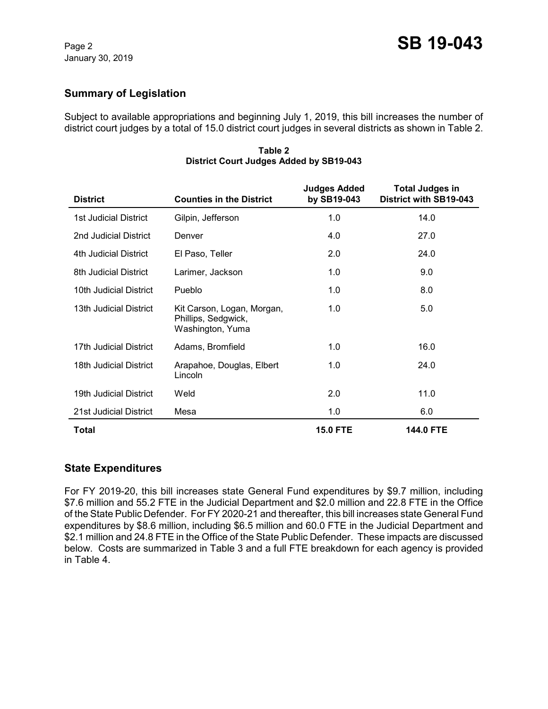# **Summary of Legislation**

Subject to available appropriations and beginning July 1, 2019, this bill increases the number of district court judges by a total of 15.0 district court judges in several districts as shown in Table 2.

| <b>District</b>              | <b>Counties in the District</b>                                       | <b>Judges Added</b><br>by SB19-043 | <b>Total Judges in</b><br>District with SB19-043 |
|------------------------------|-----------------------------------------------------------------------|------------------------------------|--------------------------------------------------|
| <b>1st Judicial District</b> | Gilpin, Jefferson                                                     | 1.0                                | 14.0                                             |
| 2nd Judicial District        | Denver                                                                | 4.0                                | 27.0                                             |
| 4th Judicial District        | El Paso, Teller                                                       | 2.0                                | 24.0                                             |
| 8th Judicial District        | Larimer, Jackson                                                      | 1.0                                | 9.0                                              |
| 10th Judicial District       | Pueblo                                                                | 1.0                                | 8.0                                              |
| 13th Judicial District       | Kit Carson, Logan, Morgan,<br>Phillips, Sedgwick,<br>Washington, Yuma | 1.0                                | 5.0                                              |
| 17th Judicial District       | Adams, Bromfield                                                      | 1.0                                | 16.0                                             |
| 18th Judicial District       | Arapahoe, Douglas, Elbert<br>Lincoln                                  | 1.0                                | 24.0                                             |
| 19th Judicial District       | Weld                                                                  | 2.0                                | 11.0                                             |
| 21st Judicial District       | Mesa                                                                  | 1.0                                | 6.0                                              |
| Total                        |                                                                       | <b>15.0 FTE</b>                    | <b>144.0 FTE</b>                                 |

#### **Table 2 District Court Judges Added by SB19-043**

## **State Expenditures**

For FY 2019-20, this bill increases state General Fund expenditures by \$9.7 million, including \$7.6 million and 55.2 FTE in the Judicial Department and \$2.0 million and 22.8 FTE in the Office of the State Public Defender. For FY 2020-21 and thereafter, this bill increases state General Fund expenditures by \$8.6 million, including \$6.5 million and 60.0 FTE in the Judicial Department and \$2.1 million and 24.8 FTE in the Office of the State Public Defender. These impacts are discussed below. Costs are summarized in Table 3 and a full FTE breakdown for each agency is provided in Table 4.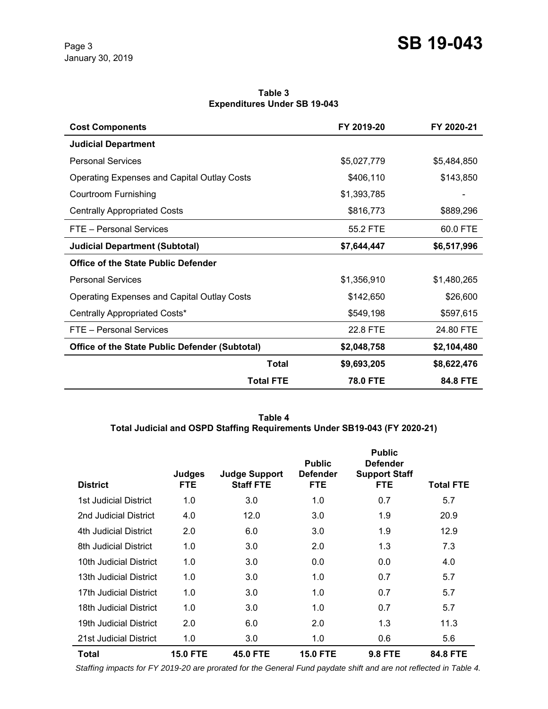**Table 3 Expenditures Under SB 19-043**

| <b>Cost Components</b>                                |                  | FY 2019-20      | FY 2020-21  |
|-------------------------------------------------------|------------------|-----------------|-------------|
| <b>Judicial Department</b>                            |                  |                 |             |
| <b>Personal Services</b>                              |                  | \$5,027,779     | \$5,484,850 |
| <b>Operating Expenses and Capital Outlay Costs</b>    |                  | \$406,110       | \$143,850   |
| Courtroom Furnishing                                  |                  | \$1,393,785     |             |
| <b>Centrally Appropriated Costs</b>                   |                  | \$816,773       | \$889,296   |
| FTE - Personal Services                               |                  | 55.2 FTE        | 60.0 FTE    |
| <b>Judicial Department (Subtotal)</b>                 |                  | \$7,644,447     | \$6,517,996 |
| <b>Office of the State Public Defender</b>            |                  |                 |             |
| <b>Personal Services</b>                              |                  | \$1,356,910     | \$1,480,265 |
| <b>Operating Expenses and Capital Outlay Costs</b>    |                  | \$142,650       | \$26,600    |
| Centrally Appropriated Costs*                         |                  | \$549,198       | \$597,615   |
| FTE - Personal Services                               |                  | 22.8 FTE        | 24.80 FTE   |
| <b>Office of the State Public Defender (Subtotal)</b> |                  | \$2,048,758     | \$2,104,480 |
|                                                       | <b>Total</b>     | \$9,693,205     | \$8,622,476 |
|                                                       | <b>Total FTE</b> | <b>78.0 FTE</b> | 84.8 FTE    |

**Table 4 Total Judicial and OSPD Staffing Requirements Under SB19-043 (FY 2020-21)**

| <b>District</b>        | Judges<br><b>FTE</b> | <b>Judge Support</b><br><b>Staff FTE</b> | <b>Public</b><br><b>Defender</b><br><b>FTE</b> | <b>Public</b><br><b>Defender</b><br><b>Support Staff</b><br><b>FTE</b> | Total FTE |
|------------------------|----------------------|------------------------------------------|------------------------------------------------|------------------------------------------------------------------------|-----------|
| 1st Judicial District  | 1.0                  | 3.0                                      | 1.0                                            | 0.7                                                                    | 5.7       |
| 2nd Judicial District  | 4.0                  | 12.0                                     | 3.0                                            | 1.9                                                                    | 20.9      |
| 4th Judicial District  | 2.0                  | 6.0                                      | 3.0                                            | 1.9                                                                    | 12.9      |
| 8th Judicial District  | 1.0                  | 3.0                                      | 2.0                                            | 1.3                                                                    | 7.3       |
| 10th Judicial District | 1.0                  | 3.0                                      | 0.0                                            | 0.0                                                                    | 4.0       |
| 13th Judicial District | 1.0                  | 3.0                                      | 1.0                                            | 0.7                                                                    | 5.7       |
| 17th Judicial District | 1.0                  | 3.0                                      | 1.0                                            | 0.7                                                                    | 5.7       |
| 18th Judicial District | 1.0                  | 3.0                                      | 1.0                                            | 0.7                                                                    | 5.7       |
| 19th Judicial District | 2.0                  | 6.0                                      | 2.0                                            | 1.3                                                                    | 11.3      |
| 21st Judicial District | 1.0                  | 3.0                                      | 1.0                                            | 0.6                                                                    | 5.6       |
| <b>Total</b>           | <b>15.0 FTE</b>      | <b>45.0 FTE</b>                          | <b>15.0 FTE</b>                                | <b>9.8 FTE</b>                                                         | 84.8 FTE  |

 *Staffing impacts for FY 2019-20 are prorated for the General Fund paydate shift and are not reflected in Table 4.*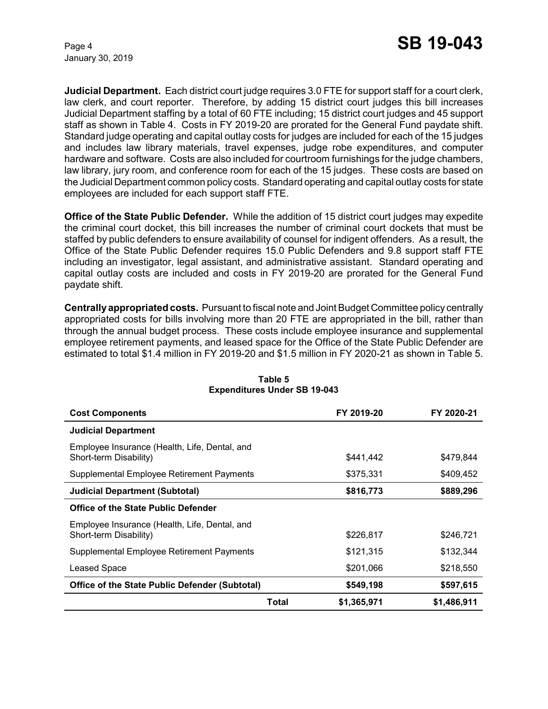January 30, 2019

**Judicial Department.** Each district court judge requires 3.0 FTE for support staff for a court clerk, law clerk, and court reporter. Therefore, by adding 15 district court judges this bill increases Judicial Department staffing by a total of 60 FTE including; 15 district court judges and 45 support staff as shown in Table 4. Costs in FY 2019-20 are prorated for the General Fund paydate shift. Standard judge operating and capital outlay costs for judges are included for each of the 15 judges and includes law library materials, travel expenses, judge robe expenditures, and computer hardware and software. Costs are also included for courtroom furnishings for the judge chambers, law library, jury room, and conference room for each of the 15 judges. These costs are based on the Judicial Department common policy costs. Standard operating and capital outlay costs for state employees are included for each support staff FTE.

**Office of the State Public Defender.** While the addition of 15 district court judges may expedite the criminal court docket, this bill increases the number of criminal court dockets that must be staffed by public defenders to ensure availability of counsel for indigent offenders. As a result, the Office of the State Public Defender requires 15.0 Public Defenders and 9.8 support staff FTE including an investigator, legal assistant, and administrative assistant. Standard operating and capital outlay costs are included and costs in FY 2019-20 are prorated for the General Fund paydate shift.

**Centrally appropriated costs.** Pursuant to fiscal note and Joint Budget Committee policy centrally appropriated costs for bills involving more than 20 FTE are appropriated in the bill, rather than through the annual budget process. These costs include employee insurance and supplemental employee retirement payments, and leased space for the Office of the State Public Defender are estimated to total \$1.4 million in FY 2019-20 and \$1.5 million in FY 2020-21 as shown in Table 5.

| <b>Cost Components</b>                                                  |       | FY 2019-20  | FY 2020-21  |
|-------------------------------------------------------------------------|-------|-------------|-------------|
| <b>Judicial Department</b>                                              |       |             |             |
| Employee Insurance (Health, Life, Dental, and<br>Short-term Disability) |       | \$441.442   | \$479.844   |
| Supplemental Employee Retirement Payments                               |       | \$375,331   | \$409,452   |
| <b>Judicial Department (Subtotal)</b>                                   |       | \$816,773   | \$889,296   |
| Office of the State Public Defender                                     |       |             |             |
| Employee Insurance (Health, Life, Dental, and<br>Short-term Disability) |       | \$226,817   | \$246,721   |
| Supplemental Employee Retirement Payments                               |       | \$121,315   | \$132,344   |
| Leased Space                                                            |       | \$201,066   | \$218,550   |
| <b>Office of the State Public Defender (Subtotal)</b>                   |       | \$549,198   | \$597,615   |
|                                                                         | Total | \$1,365,971 | \$1,486,911 |

#### **Table 5 Expenditures Under SB 19-043**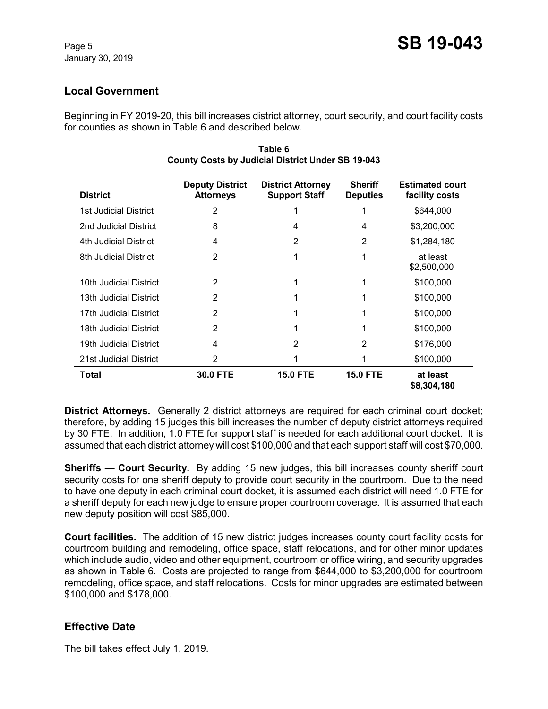# **Local Government**

Beginning in FY 2019-20, this bill increases district attorney, court security, and court facility costs for counties as shown in Table 6 and described below.

| <b>District</b>        | <b>Deputy District</b><br><b>Attorneys</b> | <b>District Attorney</b><br><b>Support Staff</b> | <b>Sheriff</b><br><b>Deputies</b> | <b>Estimated court</b><br>facility costs |
|------------------------|--------------------------------------------|--------------------------------------------------|-----------------------------------|------------------------------------------|
| 1st Judicial District  | 2                                          |                                                  |                                   | \$644,000                                |
| 2nd Judicial District  | 8                                          | 4                                                | 4                                 | \$3,200,000                              |
| 4th Judicial District  | 4                                          | 2                                                | 2                                 | \$1,284,180                              |
| 8th Judicial District  | 2                                          | 1                                                | 1                                 | at least<br>\$2,500,000                  |
| 10th Judicial District | 2                                          |                                                  |                                   | \$100,000                                |
| 13th Judicial District | 2                                          |                                                  |                                   | \$100,000                                |
| 17th Judicial District | 2                                          |                                                  |                                   | \$100,000                                |
| 18th Judicial District | 2                                          | 1                                                |                                   | \$100,000                                |
| 19th Judicial District | 4                                          | 2                                                | 2                                 | \$176,000                                |
| 21st Judicial District | 2                                          |                                                  |                                   | \$100,000                                |
| Total                  | 30.0 FTE                                   | <b>15.0 FTE</b>                                  | <b>15.0 FTE</b>                   | at least<br>\$8,304,180                  |

#### **Table 6 County Costs by Judicial District Under SB 19-043**

**District Attorneys.** Generally 2 district attorneys are required for each criminal court docket; therefore, by adding 15 judges this bill increases the number of deputy district attorneys required by 30 FTE. In addition, 1.0 FTE for support staff is needed for each additional court docket. It is assumed that each district attorney will cost \$100,000 and that each support staff will cost \$70,000.

**Sheriffs — Court Security.** By adding 15 new judges, this bill increases county sheriff court security costs for one sheriff deputy to provide court security in the courtroom. Due to the need to have one deputy in each criminal court docket, it is assumed each district will need 1.0 FTE for a sheriff deputy for each new judge to ensure proper courtroom coverage. It is assumed that each new deputy position will cost \$85,000.

**Court facilities.** The addition of 15 new district judges increases county court facility costs for courtroom building and remodeling, office space, staff relocations, and for other minor updates which include audio, video and other equipment, courtroom or office wiring, and security upgrades as shown in Table 6. Costs are projected to range from \$644,000 to \$3,200,000 for courtroom remodeling, office space, and staff relocations. Costs for minor upgrades are estimated between \$100,000 and \$178,000.

# **Effective Date**

The bill takes effect July 1, 2019.